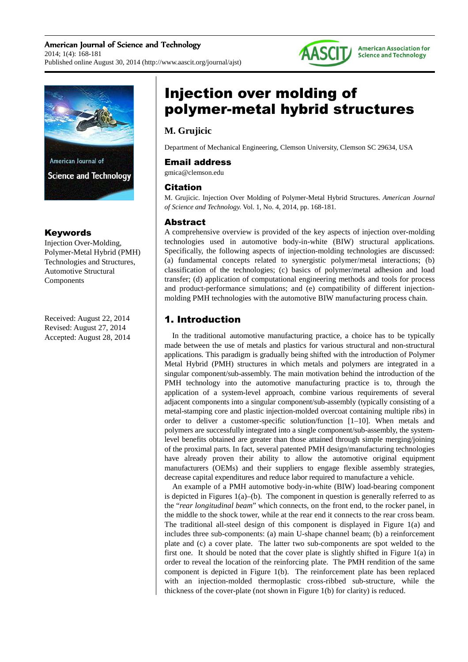#### American Journal of Science and Technology 2014; 1(4): 168-181 Published online August 30, 2014 (http://www.aascit.org/journal/ajst)





# Keywords

Injection Over-Molding, Polymer-Metal Hybrid (PMH) Technologies and Structures, Automotive Structural Components

Received: August 22, 2014 Revised: August 27, 2014 Accepted: August 28, 2014

# Injection over molding of polymer-metal hybrid structures

# **M. Grujicic**

Department of Mechanical Engineering, Clemson University, Clemson SC 29634, USA

# Email address

gmica@clemson.edu

# Citation

M. Grujicic. Injection Over Molding of Polymer-Metal Hybrid Structures. *American Journal of Science and Technology.* Vol. 1, No. 4, 2014, pp. 168-181.

# Abstract

A comprehensive overview is provided of the key aspects of injection over-molding technologies used in automotive body-in-white (BIW) structural applications. Specifically, the following aspects of injection-molding technologies are discussed: (a) fundamental concepts related to synergistic polymer/metal interactions; (b) classification of the technologies; (c) basics of polymer/metal adhesion and load transfer; (d) application of computational engineering methods and tools for process and product-performance simulations; and (e) compatibility of different injectionmolding PMH technologies with the automotive BIW manufacturing process chain.

# 1. Introduction

In the traditional automotive manufacturing practice, a choice has to be typically made between the use of metals and plastics for various structural and non-structural applications. This paradigm is gradually being shifted with the introduction of Polymer Metal Hybrid (PMH) structures in which metals and polymers are integrated in a singular component/sub-assembly. The main motivation behind the introduction of the PMH technology into the automotive manufacturing practice is to, through the application of a system-level approach, combine various requirements of several adjacent components into a singular component/sub-assembly (typically consisting of a metal-stamping core and plastic injection-molded overcoat containing multiple ribs) in order to deliver a customer-specific solution/function [1–10]. When metals and polymers are successfully integrated into a single component/sub-assembly, the systemlevel benefits obtained are greater than those attained through simple merging/joining of the proximal parts. In fact, several patented PMH design/manufacturing technologies have already proven their ability to allow the automotive original equipment manufacturers (OEMs) and their suppliers to engage flexible assembly strategies, decrease capital expenditures and reduce labor required to manufacture a vehicle.

An example of a PMH automotive body-in-white (BIW) load-bearing component is depicted in Figures  $1(a)$ –(b). The component in question is generally referred to as the "*rear longitudinal beam*" which connects, on the front end, to the rocker panel, in the middle to the shock tower, while at the rear end it connects to the rear cross beam. The traditional all-steel design of this component is displayed in Figure 1(a) and includes three sub-components: (a) main U-shape channel beam; (b) a reinforcement plate and (c) a cover plate. The latter two sub-components are spot welded to the first one. It should be noted that the cover plate is slightly shifted in Figure 1(a) in order to reveal the location of the reinforcing plate. The PMH rendition of the same component is depicted in Figure 1(b). The reinforcement plate has been replaced with an injection-molded thermoplastic cross-ribbed sub-structure, while the thickness of the cover-plate (not shown in Figure 1(b) for clarity) is reduced.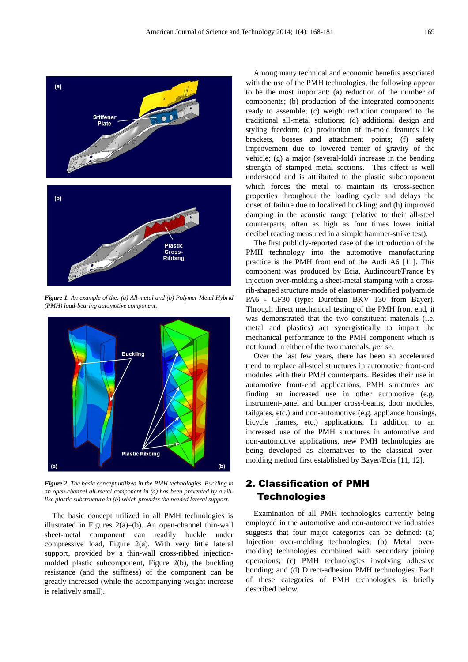

*Figure 1. An example of the: (a) All-metal and (b) Polymer Metal Hybrid (PMH) load-bearing automotive component.* 



*Figure 2. The basic concept utilized in the PMH technologies. Buckling in an open-channel all-metal component in (a) has been prevented by a riblike plastic substructure in (b) which provides the needed lateral support.* 

The basic concept utilized in all PMH technologies is illustrated in Figures 2(a)–(b). An open-channel thin-wall sheet-metal component can readily buckle under compressive load, Figure 2(a). With very little lateral support, provided by a thin-wall cross-ribbed injectionmolded plastic subcomponent, Figure 2(b), the buckling resistance (and the stiffness) of the component can be greatly increased (while the accompanying weight increase is relatively small).

Among many technical and economic benefits associated with the use of the PMH technologies, the following appear to be the most important: (a) reduction of the number of components; (b) production of the integrated components ready to assemble; (c) weight reduction compared to the traditional all-metal solutions; (d) additional design and styling freedom; (e) production of in-mold features like brackets, bosses and attachment points; (f) safety improvement due to lowered center of gravity of the vehicle; (g) a major (several-fold) increase in the bending strength of stamped metal sections. This effect is well understood and is attributed to the plastic subcomponent which forces the metal to maintain its cross-section properties throughout the loading cycle and delays the onset of failure due to localized buckling; and (h) improved damping in the acoustic range (relative to their all-steel counterparts, often as high as four times lower initial decibel reading measured in a simple hammer-strike test).

The first publicly-reported case of the introduction of the PMH technology into the automotive manufacturing practice is the PMH front end of the Audi A6 [11]. This component was produced by Ecia, Audincourt/France by injection over-molding a sheet-metal stamping with a crossrib-shaped structure made of elastomer-modified polyamide PA6 - GF30 (type: Durethan BKV 130 from Bayer). Through direct mechanical testing of the PMH front end, it was demonstrated that the two constituent materials (i.e. metal and plastics) act synergistically to impart the mechanical performance to the PMH component which is not found in either of the two materials, *per se*.

Over the last few years, there has been an accelerated trend to replace all-steel structures in automotive front-end modules with their PMH counterparts. Besides their use in automotive front-end applications, PMH structures are finding an increased use in other automotive (e.g. instrument-panel and bumper cross-beams, door modules, tailgates, etc.) and non-automotive (e.g. appliance housings, bicycle frames, etc.) applications. In addition to an increased use of the PMH structures in automotive and non-automotive applications, new PMH technologies are being developed as alternatives to the classical overmolding method first established by Bayer/Ecia [11, 12].

# 2. Classification of PMH **Technologies**

Examination of all PMH technologies currently being employed in the automotive and non-automotive industries suggests that four major categories can be defined: (a) Injection over-molding technologies; (b) Metal overmolding technologies combined with secondary joining operations; (c) PMH technologies involving adhesive bonding; and (d) Direct-adhesion PMH technologies. Each of these categories of PMH technologies is briefly described below.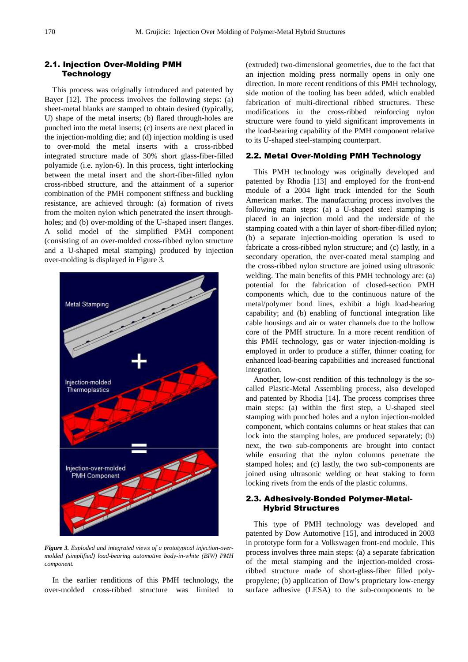#### 2.1. Injection Over-Molding PMH **Technology**

This process was originally introduced and patented by Bayer [12]. The process involves the following steps: (a) sheet-metal blanks are stamped to obtain desired (typically, U) shape of the metal inserts; (b) flared through-holes are punched into the metal inserts; (c) inserts are next placed in the injection-molding die; and (d) injection molding is used to over-mold the metal inserts with a cross-ribbed integrated structure made of 30% short glass-fiber-filled polyamide (i.e. nylon-6). In this process, tight interlocking between the metal insert and the short-fiber-filled nylon cross-ribbed structure, and the attainment of a superior combination of the PMH component stiffness and buckling resistance, are achieved through: (a) formation of rivets from the molten nylon which penetrated the insert throughholes; and (b) over-molding of the U-shaped insert flanges. A solid model of the simplified PMH component (consisting of an over-molded cross-ribbed nylon structure and a U-shaped metal stamping) produced by injection over-molding is displayed in Figure 3.



*Figure 3. Exploded and integrated views of a prototypical injection-overmolded (simplified) load-bearing automotive body-in-white (BIW) PMH component.* 

In the earlier renditions of this PMH technology, the over-molded cross-ribbed structure was limited to

(extruded) two-dimensional geometries, due to the fact that an injection molding press normally opens in only one direction. In more recent renditions of this PMH technology, side motion of the tooling has been added, which enabled fabrication of multi-directional ribbed structures. These modifications in the cross-ribbed reinforcing nylon structure were found to yield significant improvements in the load-bearing capability of the PMH component relative to its U-shaped steel-stamping counterpart.

#### 2.2. Metal Over-Molding PMH Technology

This PMH technology was originally developed and patented by Rhodia [13] and employed for the front-end module of a 2004 light truck intended for the South American market. The manufacturing process involves the following main steps: (a) a U-shaped steel stamping is placed in an injection mold and the underside of the stamping coated with a thin layer of short-fiber-filled nylon; (b) a separate injection-molding operation is used to fabricate a cross-ribbed nylon structure; and (c) lastly, in a secondary operation, the over-coated metal stamping and the cross-ribbed nylon structure are joined using ultrasonic welding. The main benefits of this PMH technology are: (a) potential for the fabrication of closed-section PMH components which, due to the continuous nature of the metal/polymer bond lines, exhibit a high load-bearing capability; and (b) enabling of functional integration like cable housings and air or water channels due to the hollow core of the PMH structure. In a more recent rendition of this PMH technology, gas or water injection-molding is employed in order to produce a stiffer, thinner coating for enhanced load-bearing capabilities and increased functional integration.

Another, low-cost rendition of this technology is the socalled Plastic-Metal Assembling process, also developed and patented by Rhodia [14]. The process comprises three main steps: (a) within the first step, a U-shaped steel stamping with punched holes and a nylon injection-molded component, which contains columns or heat stakes that can lock into the stamping holes, are produced separately; (b) next, the two sub-components are brought into contact while ensuring that the nylon columns penetrate the stamped holes; and (c) lastly, the two sub-components are joined using ultrasonic welding or heat staking to form locking rivets from the ends of the plastic columns.

#### 2.3. Adhesively-Bonded Polymer-Metal-Hybrid Structures

This type of PMH technology was developed and patented by Dow Automotive [15], and introduced in 2003 in prototype form for a Volkswagen front-end module. This process involves three main steps: (a) a separate fabrication of the metal stamping and the injection-molded crossribbed structure made of short-glass-fiber filled polypropylene; (b) application of Dow's proprietary low-energy surface adhesive (LESA) to the sub-components to be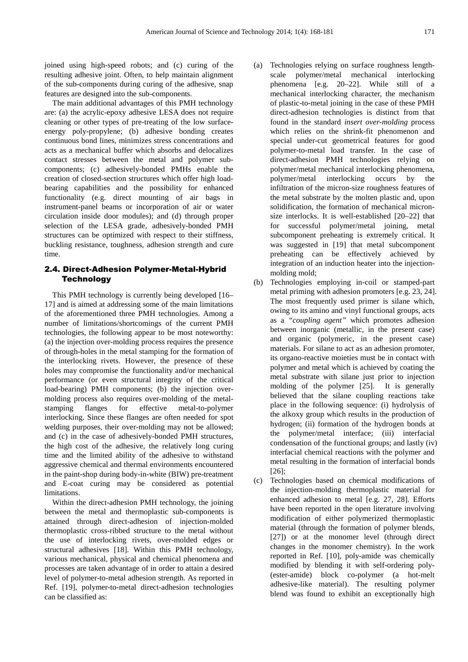joined using high-speed robots; and (c) curing of the resulting adhesive joint. Often, to help maintain alignment of the sub-components during curing of the adhesive, snap features are designed into the sub-components.

The main additional advantages of this PMH technology are: (a) the acrylic-epoxy adhesive LESA does not require cleaning or other types of pre-treating of the low surfaceenergy poly-propylene; (b) adhesive bonding creates continuous bond lines, minimizes stress concentrations and acts as a mechanical buffer which absorbs and delocalizes contact stresses between the metal and polymer subcomponents; (c) adhesively-bonded PMHs enable the creation of closed-section structures which offer high loadbearing capabilities and the possibility for enhanced functionality (e.g. direct mounting of air bags in instrument-panel beams or incorporation of air or water circulation inside door modules); and (d) through proper selection of the LESA grade, adhesively-bonded PMH structures can be optimized with respect to their stiffness, buckling resistance, toughness, adhesion strength and cure time.

#### 2.4. Direct-Adhesion Polymer-Metal-Hybrid **Technology**

This PMH technology is currently being developed [16– 17] and is aimed at addressing some of the main limitations of the aforementioned three PMH technologies. Among a number of limitations/shortcomings of the current PMH technologies, the following appear to be most noteworthy: (a) the injection over-molding process requires the presence of through-holes in the metal stamping for the formation of the interlocking rivets. However, the presence of these holes may compromise the functionality and/or mechanical performance (or even structural integrity of the critical load-bearing) PMH components; (b) the injection overmolding process also requires over-molding of the metalstamping flanges for effective metal-to-polymer interlocking. Since these flanges are often needed for spot welding purposes, their over-molding may not be allowed; and (c) in the case of adhesively-bonded PMH structures, the high cost of the adhesive, the relatively long curing time and the limited ability of the adhesive to withstand aggressive chemical and thermal environments encountered in the paint-shop during body-in-white (BIW) pre-treatment and E-coat curing may be considered as potential limitations.

Within the direct-adhesion PMH technology, the joining between the metal and thermoplastic sub-components is attained through direct-adhesion of injection-molded thermoplastic cross-ribbed structure to the metal without the use of interlocking rivets, over-molded edges or structural adhesives [18]. Within this PMH technology, various mechanical, physical and chemical phenomena and processes are taken advantage of in order to attain a desired level of polymer-to-metal adhesion strength. As reported in Ref. [19], polymer-to-metal direct-adhesion technologies can be classified as:

- (a) Technologies relying on surface roughness lengthscale polymer/metal mechanical interlocking phenomena [e.g. 20–22]. While still of a mechanical interlocking character, the mechanism of plastic-to-metal joining in the case of these PMH direct-adhesion technologies is distinct from that found in the standard *insert over-molding* process which relies on the shrink-fit phenomenon and special under-cut geometrical features for good polymer-to-metal load transfer. In the case of direct-adhesion PMH technologies relying on polymer/metal mechanical interlocking phenomena, polymer/metal interlocking occurs by the infiltration of the micron-size roughness features of the metal substrate by the molten plastic and, upon solidification, the formation of mechanical micronsize interlocks. It is well-established [20–22] that for successful polymer/metal joining, metal subcomponent preheating is extremely critical. It was suggested in [19] that metal subcomponent preheating can be effectively achieved by integration of an induction heater into the injectionmolding mold;
- (b) Technologies employing in-coil or stamped-part metal priming with adhesion promoters [e.g. 23, 24]. The most frequently used primer is silane which, owing to its amino and vinyl functional groups, acts as a *"coupling agent"* which promotes adhesion between inorganic (metallic, in the present case) and organic (polymeric, in the present case) materials. For silane to act as an adhesion promoter, its organo-reactive moieties must be in contact with polymer and metal which is achieved by coating the metal substrate with silane just prior to injection molding of the polymer [25]. It is generally believed that the silane coupling reactions take place in the following sequence: (i) hydrolysis of the alkoxy group which results in the production of hydrogen; (ii) formation of the hydrogen bonds at the polymer/metal interface; (iii) interfacial condensation of the functional groups; and lastly (iv) interfacial chemical reactions with the polymer and metal resulting in the formation of interfacial bonds [26]:
- (c) Technologies based on chemical modifications of the injection-molding thermoplastic material for enhanced adhesion to metal [e.g. 27, 28]. Efforts have been reported in the open literature involving modification of either polymerized thermoplastic material (through the formation of polymer blends, [27]) or at the monomer level (through direct changes in the monomer chemistry). In the work reported in Ref. [10], poly-amide was chemically modified by blending it with self-ordering poly- (ester-amide) block co-polymer (a hot-melt adhesive-like material). The resulting polymer blend was found to exhibit an exceptionally high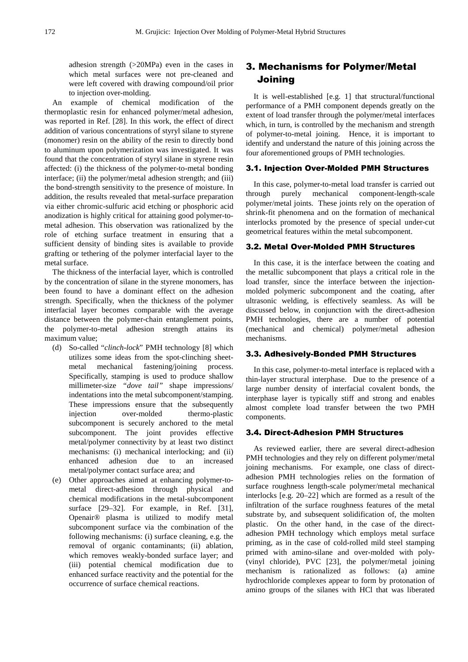adhesion strength (>20MPa) even in the cases in which metal surfaces were not pre-cleaned and were left covered with drawing compound/oil prior to injection over-molding.

An example of chemical modification of the thermoplastic resin for enhanced polymer/metal adhesion, was reported in Ref. [28]. In this work, the effect of direct addition of various concentrations of styryl silane to styrene (monomer) resin on the ability of the resin to directly bond to aluminum upon polymerization was investigated. It was found that the concentration of styryl silane in styrene resin affected: (i) the thickness of the polymer-to-metal bonding interface; (ii) the polymer/metal adhesion strength; and (iii) the bond-strength sensitivity to the presence of moisture. In addition, the results revealed that metal-surface preparation via either chromic-sulfuric acid etching or phosphoric acid anodization is highly critical for attaining good polymer-tometal adhesion. This observation was rationalized by the role of etching surface treatment in ensuring that a sufficient density of binding sites is available to provide grafting or tethering of the polymer interfacial layer to the metal surface.

The thickness of the interfacial layer, which is controlled by the concentration of silane in the styrene monomers, has been found to have a dominant effect on the adhesion strength. Specifically, when the thickness of the polymer interfacial layer becomes comparable with the average distance between the polymer-chain entanglement points, the polymer-to-metal adhesion strength attains its maximum value;

- (d) So-called "*clinch-lock*" PMH technology [8] which utilizes some ideas from the spot-clinching sheetmetal mechanical fastening/joining process. Specifically, stamping is used to produce shallow millimeter-size *"dove tail"* shape impressions/ indentations into the metal subcomponent/stamping. These impressions ensure that the subsequently injection over-molded thermo-plastic subcomponent is securely anchored to the metal subcomponent. The joint provides effective metal/polymer connectivity by at least two distinct mechanisms: (i) mechanical interlocking; and (ii) enhanced adhesion due to an increased metal/polymer contact surface area; and
- (e) Other approaches aimed at enhancing polymer-tometal direct-adhesion through physical and chemical modifications in the metal-subcomponent surface [29–32]. For example, in Ref. [31], Openair® plasma is utilized to modify metal subcomponent surface via the combination of the following mechanisms: (i) surface cleaning, e.g. the removal of organic contaminants; (ii) ablation, which removes weakly-bonded surface layer; and (iii) potential chemical modification due to enhanced surface reactivity and the potential for the occurrence of surface chemical reactions.

# 3. Mechanisms for Polymer/Metal Joining

It is well-established [e.g. 1] that structural/functional performance of a PMH component depends greatly on the extent of load transfer through the polymer/metal interfaces which, in turn, is controlled by the mechanism and strength of polymer-to-metal joining. Hence, it is important to identify and understand the nature of this joining across the four aforementioned groups of PMH technologies.

#### 3.1. Injection Over-Molded PMH Structures

In this case, polymer-to-metal load transfer is carried out through purely mechanical component-length-scale polymer/metal joints. These joints rely on the operation of shrink-fit phenomena and on the formation of mechanical interlocks promoted by the presence of special under-cut geometrical features within the metal subcomponent.

#### 3.2. Metal Over-Molded PMH Structures

In this case, it is the interface between the coating and the metallic subcomponent that plays a critical role in the load transfer, since the interface between the injectionmolded polymeric subcomponent and the coating, after ultrasonic welding, is effectively seamless. As will be discussed below, in conjunction with the direct-adhesion PMH technologies, there are a number of potential (mechanical and chemical) polymer/metal adhesion mechanisms.

### 3.3. Adhesively-Bonded PMH Structures

In this case, polymer-to-metal interface is replaced with a thin-layer structural interphase. Due to the presence of a large number density of interfacial covalent bonds, the interphase layer is typically stiff and strong and enables almost complete load transfer between the two PMH components.

#### 3.4. Direct-Adhesion PMH Structures

As reviewed earlier, there are several direct-adhesion PMH technologies and they rely on different polymer/metal joining mechanisms. For example, one class of directadhesion PMH technologies relies on the formation of surface roughness length-scale polymer/metal mechanical interlocks [e.g. 20–22] which are formed as a result of the infiltration of the surface roughness features of the metal substrate by, and subsequent solidification of, the molten plastic. On the other hand, in the case of the directadhesion PMH technology which employs metal surface priming, as in the case of cold-rolled mild steel stamping primed with amino-silane and over-molded with poly- (vinyl chloride), PVC [23], the polymer/metal joining mechanism is rationalized as follows: (a) amine hydrochloride complexes appear to form by protonation of amino groups of the silanes with HCl that was liberated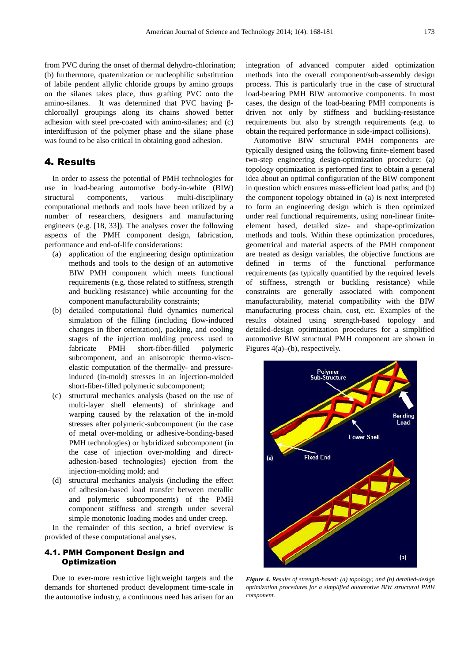from PVC during the onset of thermal dehydro-chlorination; (b) furthermore, quaternization or nucleophilic substitution of labile pendent allylic chloride groups by amino groups on the silanes takes place, thus grafting PVC onto the amino-silanes. It was determined that PVC having βchloroallyl groupings along its chains showed better adhesion with steel pre-coated with amino-silanes; and (c) interdiffusion of the polymer phase and the silane phase was found to be also critical in obtaining good adhesion.

# 4. Results

In order to assess the potential of PMH technologies for use in load-bearing automotive body-in-white (BIW) structural components, various multi-disciplinary computational methods and tools have been utilized by a number of researchers, designers and manufacturing engineers (e.g. [18, 33]). The analyses cover the following aspects of the PMH component design, fabrication, performance and end-of-life considerations:

- (a) application of the engineering design optimization methods and tools to the design of an automotive BIW PMH component which meets functional requirements (e.g. those related to stiffness, strength and buckling resistance) while accounting for the component manufacturability constraints;
- (b) detailed computational fluid dynamics numerical simulation of the filling (including flow-induced changes in fiber orientation), packing, and cooling stages of the injection molding process used to fabricate PMH short-fiber-filled polymeric subcomponent, and an anisotropic thermo-viscoelastic computation of the thermally- and pressureinduced (in-mold) stresses in an injection-molded short-fiber-filled polymeric subcomponent;
- (c) structural mechanics analysis (based on the use of multi-layer shell elements) of shrinkage and warping caused by the relaxation of the in-mold stresses after polymeric-subcomponent (in the case of metal over-molding or adhesive-bonding-based PMH technologies) or hybridized subcomponent (in the case of injection over-molding and directadhesion-based technologies) ejection from the injection-molding mold; and
- (d) structural mechanics analysis (including the effect of adhesion-based load transfer between metallic and polymeric subcomponents) of the PMH component stiffness and strength under several simple monotonic loading modes and under creep.

In the remainder of this section, a brief overview is provided of these computational analyses.

#### 4.1. PMH Component Design and **Optimization**

Due to ever-more restrictive lightweight targets and the demands for shortened product development time-scale in the automotive industry, a continuous need has arisen for an

integration of advanced computer aided optimization methods into the overall component/sub-assembly design process. This is particularly true in the case of structural load-bearing PMH BIW automotive components. In most cases, the design of the load-bearing PMH components is driven not only by stiffness and buckling-resistance requirements but also by strength requirements (e.g. to obtain the required performance in side-impact collisions).

Automotive BIW structural PMH components are typically designed using the following finite-element based two-step engineering design-optimization procedure: (a) topology optimization is performed first to obtain a general idea about an optimal configuration of the BIW component in question which ensures mass-efficient load paths; and (b) the component topology obtained in (a) is next interpreted to form an engineering design which is then optimized under real functional requirements, using non-linear finiteelement based, detailed size- and shape-optimization methods and tools. Within these optimization procedures, geometrical and material aspects of the PMH component are treated as design variables, the objective functions are defined in terms of the functional performance requirements (as typically quantified by the required levels of stiffness, strength or buckling resistance) while constraints are generally associated with component manufacturability, material compatibility with the BIW manufacturing process chain, cost, etc. Examples of the results obtained using strength-based topology and detailed-design optimization procedures for a simplified automotive BIW structural PMH component are shown in Figures 4(a)–(b), respectively.

Bending Load Lower-Shell **Fixed End**  $(b)$ 

Polymer<br>Sub-Structure

*Figure 4. Results of strength-based: (a) topology; and (b) detailed-design optimization procedures for a simplified automotive BIW structural PMH component.*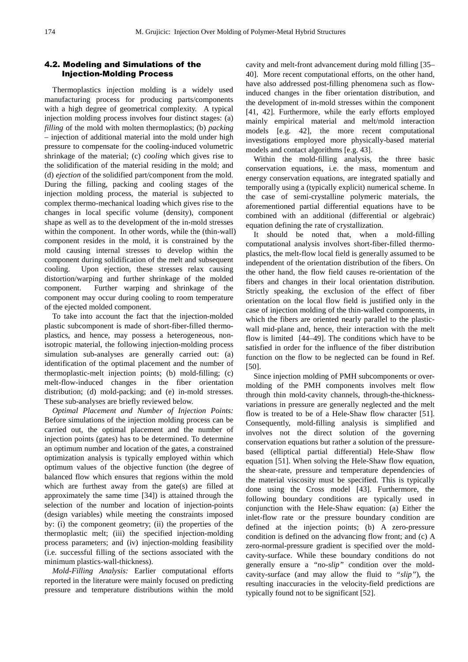### 4.2. Modeling and Simulations of the Injection-Molding Process

Thermoplastics injection molding is a widely used manufacturing process for producing parts/components with a high degree of geometrical complexity. A typical injection molding process involves four distinct stages: (a) *filling* of the mold with molten thermoplastics; (b) *packing* – injection of additional material into the mold under high pressure to compensate for the cooling-induced volumetric shrinkage of the material; (c) *cooling* which gives rise to the solidification of the material residing in the mold; and (d) *ejection* of the solidified part/component from the mold. During the filling, packing and cooling stages of the injection molding process, the material is subjected to complex thermo-mechanical loading which gives rise to the changes in local specific volume (density), component shape as well as to the development of the in-mold stresses within the component. In other words, while the (thin-wall) component resides in the mold, it is constrained by the mold causing internal stresses to develop within the component during solidification of the melt and subsequent cooling. Upon ejection, these stresses relax causing distortion/warping and further shrinkage of the molded component. Further warping and shrinkage of the component may occur during cooling to room temperature of the ejected molded component.

To take into account the fact that the injection-molded plastic subcomponent is made of short-fiber-filled thermoplastics, and hence, may possess a heterogeneous, nonisotropic material, the following injection-molding process simulation sub-analyses are generally carried out: (a) identification of the optimal placement and the number of thermoplastic-melt injection points; (b) mold-filling; (c) melt-flow-induced changes in the fiber orientation distribution; (d) mold-packing; and (e) in-mold stresses. These sub-analyses are briefly reviewed below.

*Optimal Placement and Number of Injection Points:*  Before simulations of the injection molding process can be carried out, the optimal placement and the number of injection points (gates) has to be determined. To determine an optimum number and location of the gates, a constrained optimization analysis is typically employed within which optimum values of the objective function (the degree of balanced flow which ensures that regions within the mold which are furthest away from the gate(s) are filled at approximately the same time [34]) is attained through the selection of the number and location of injection-points (design variables) while meeting the constraints imposed by: (i) the component geometry; (ii) the properties of the thermoplastic melt; (iii) the specified injection-molding process parameters; and (iv) injection-molding feasibility (i.e. successful filling of the sections associated with the minimum plastics-wall-thickness).

*Mold-Filling Analysis:* Earlier computational efforts reported in the literature were mainly focused on predicting pressure and temperature distributions within the mold cavity and melt-front advancement during mold filling [35– 40]. More recent computational efforts, on the other hand, have also addressed post-filling phenomena such as flowinduced changes in the fiber orientation distribution, and the development of in-mold stresses within the component [41, 42]. Furthermore, while the early efforts employed mainly empirical material and melt/mold interaction models [e.g. 42], the more recent computational investigations employed more physically-based material models and contact algorithms [e.g. 43].

Within the mold-filling analysis, the three basic conservation equations, i.e. the mass, momentum and energy conservation equations, are integrated spatially and temporally using a (typically explicit) numerical scheme. In the case of semi-crystalline polymeric materials, the aforementioned partial differential equations have to be combined with an additional (differential or algebraic) equation defining the rate of crystallization.

It should be noted that, when a mold-filling computational analysis involves short-fiber-filled thermoplastics, the melt-flow local field is generally assumed to be independent of the orientation distribution of the fibers. On the other hand, the flow field causes re-orientation of the fibers and changes in their local orientation distribution. Strictly speaking, the exclusion of the effect of fiber orientation on the local flow field is justified only in the case of injection molding of the thin-walled components, in which the fibers are oriented nearly parallel to the plasticwall mid-plane and, hence, their interaction with the melt flow is limited [44–49]. The conditions which have to be satisfied in order for the influence of the fiber distribution function on the flow to be neglected can be found in Ref. [50].

Since injection molding of PMH subcomponents or overmolding of the PMH components involves melt flow through thin mold-cavity channels, through-the-thicknessvariations in pressure are generally neglected and the melt flow is treated to be of a Hele-Shaw flow character [51]. Consequently, mold-filling analysis is simplified and involves not the direct solution of the governing conservation equations but rather a solution of the pressurebased (elliptical partial differential) Hele-Shaw flow equation [51]. When solving the Hele-Shaw flow equation, the shear-rate, pressure and temperature dependencies of the material viscosity must be specified. This is typically done using the Cross model [43]. Furthermore, the following boundary conditions are typically used in conjunction with the Hele-Shaw equation: (a) Either the inlet-flow rate or the pressure boundary condition are defined at the injection points; (b) A zero-pressure condition is defined on the advancing flow front; and (c) A zero-normal-pressure gradient is specified over the moldcavity-surface. While these boundary conditions do not generally ensure a *"no-slip"* condition over the moldcavity-surface (and may allow the fluid to *"slip"*), the resulting inaccuracies in the velocity-field predictions are typically found not to be significant [52].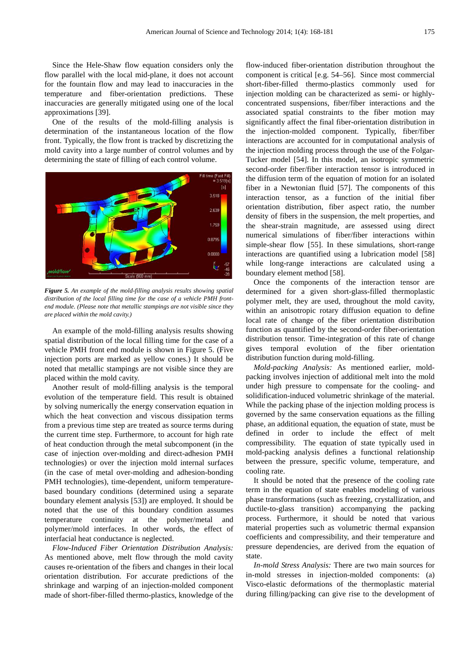Since the Hele-Shaw flow equation considers only the flow parallel with the local mid-plane, it does not account for the fountain flow and may lead to inaccuracies in the temperature and fiber-orientation predictions. These inaccuracies are generally mitigated using one of the local approximations [39].

One of the results of the mold-filling analysis is determination of the instantaneous location of the flow front. Typically, the flow front is tracked by discretizing the mold cavity into a large number of control volumes and by determining the state of filling of each control volume.



*Figure 5. An example of the mold-filling analysis results showing spatial distribution of the local filling time for the case of a vehicle PMH frontend module. (Please note that metallic stampings are not visible since they are placed within the mold cavity.)* 

An example of the mold-filling analysis results showing spatial distribution of the local filling time for the case of a vehicle PMH front end module is shown in Figure 5. (Five injection ports are marked as yellow cones.) It should be noted that metallic stampings are not visible since they are placed within the mold cavity.

Another result of mold-filling analysis is the temporal evolution of the temperature field. This result is obtained by solving numerically the energy conservation equation in which the heat convection and viscous dissipation terms from a previous time step are treated as source terms during the current time step. Furthermore, to account for high rate of heat conduction through the metal subcomponent (in the case of injection over-molding and direct-adhesion PMH technologies) or over the injection mold internal surfaces (in the case of metal over-molding and adhesion-bonding PMH technologies), time-dependent, uniform temperaturebased boundary conditions (determined using a separate boundary element analysis [53]) are employed. It should be noted that the use of this boundary condition assumes temperature continuity at the polymer/metal and polymer/mold interfaces. In other words, the effect of interfacial heat conductance is neglected.

*Flow-Induced Fiber Orientation Distribution Analysis:*  As mentioned above, melt flow through the mold cavity causes re-orientation of the fibers and changes in their local orientation distribution. For accurate predictions of the shrinkage and warping of an injection-molded component made of short-fiber-filled thermo-plastics, knowledge of the

flow-induced fiber-orientation distribution throughout the component is critical [e.g. 54–56]. Since most commercial short-fiber-filled thermo-plastics commonly used for injection molding can be characterized as semi- or highlyconcentrated suspensions, fiber/fiber interactions and the associated spatial constraints to the fiber motion may significantly affect the final fiber-orientation distribution in the injection-molded component. Typically, fiber/fiber interactions are accounted for in computational analysis of the injection molding process through the use of the Folgar-Tucker model [54]. In this model, an isotropic symmetric second-order fiber/fiber interaction tensor is introduced in the diffusion term of the equation of motion for an isolated fiber in a Newtonian fluid [57]. The components of this interaction tensor, as a function of the initial fiber orientation distribution, fiber aspect ratio, the number density of fibers in the suspension, the melt properties, and the shear-strain magnitude, are assessed using direct numerical simulations of fiber/fiber interactions within simple-shear flow [55]. In these simulations, short-range interactions are quantified using a lubrication model [58] while long-range interactions are calculated using a boundary element method [58].

Once the components of the interaction tensor are determined for a given short-glass-filled thermoplastic polymer melt, they are used, throughout the mold cavity, within an anisotropic rotary diffusion equation to define local rate of change of the fiber orientation distribution function as quantified by the second-order fiber-orientation distribution tensor. Time-integration of this rate of change gives temporal evolution of the fiber orientation distribution function during mold-filling.

*Mold-packing Analysis:* As mentioned earlier, moldpacking involves injection of additional melt into the mold under high pressure to compensate for the cooling- and solidification-induced volumetric shrinkage of the material. While the packing phase of the injection molding process is governed by the same conservation equations as the filling phase, an additional equation, the equation of state, must be defined in order to include the effect of melt compressibility. The equation of state typically used in mold-packing analysis defines a functional relationship between the pressure, specific volume, temperature, and cooling rate.

It should be noted that the presence of the cooling rate term in the equation of state enables modeling of various phase transformations (such as freezing, crystallization, and ductile-to-glass transition) accompanying the packing process. Furthermore, it should be noted that various material properties such as volumetric thermal expansion coefficients and compressibility, and their temperature and pressure dependencies, are derived from the equation of state.

*In-mold Stress Analysis:* There are two main sources for in-mold stresses in injection-molded components: (a) Visco-elastic deformations of the thermoplastic material during filling/packing can give rise to the development of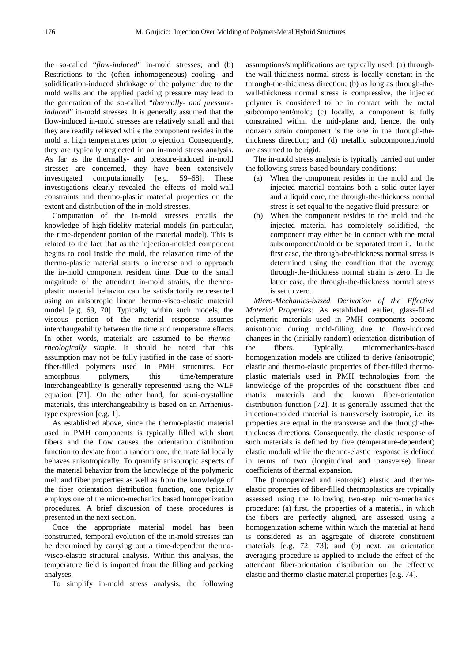the so-called "*flow-induced*" in-mold stresses; and (b) Restrictions to the (often inhomogeneous) cooling- and solidification-induced shrinkage of the polymer due to the mold walls and the applied packing pressure may lead to the generation of the so-called "*thermally- and pressureinduced*" in-mold stresses. It is generally assumed that the flow-induced in-mold stresses are relatively small and that they are readily relieved while the component resides in the mold at high temperatures prior to ejection. Consequently, they are typically neglected in an in-mold stress analysis. As far as the thermally- and pressure-induced in-mold stresses are concerned, they have been extensively investigated computationally [e.g. 59–68]. These investigations clearly revealed the effects of mold-wall constraints and thermo-plastic material properties on the extent and distribution of the in-mold stresses.

Computation of the in-mold stresses entails the knowledge of high-fidelity material models (in particular, the time-dependent portion of the material model). This is related to the fact that as the injection-molded component begins to cool inside the mold, the relaxation time of the thermo-plastic material starts to increase and to approach the in-mold component resident time. Due to the small magnitude of the attendant in-mold strains, the thermoplastic material behavior can be satisfactorily represented using an anisotropic linear thermo-visco-elastic material model [e.g. 69, 70]. Typically, within such models, the viscous portion of the material response assumes interchangeability between the time and temperature effects. In other words, materials are assumed to be *thermorheologically simple*. It should be noted that this assumption may not be fully justified in the case of shortfiber-filled polymers used in PMH structures. For amorphous polymers, this time/temperature interchangeability is generally represented using the WLF equation [71]. On the other hand, for semi-crystalline materials, this interchangeability is based on an Arrheniustype expression [e.g. 1].

As established above, since the thermo-plastic material used in PMH components is typically filled with short fibers and the flow causes the orientation distribution function to deviate from a random one, the material locally behaves anisotropically. To quantify anisotropic aspects of the material behavior from the knowledge of the polymeric melt and fiber properties as well as from the knowledge of the fiber orientation distribution function, one typically employs one of the micro-mechanics based homogenization procedures. A brief discussion of these procedures is presented in the next section.

Once the appropriate material model has been constructed, temporal evolution of the in-mold stresses can be determined by carrying out a time-dependent thermo- /visco-elastic structural analysis. Within this analysis, the temperature field is imported from the filling and packing analyses.

To simplify in-mold stress analysis, the following

assumptions/simplifications are typically used: (a) throughthe-wall-thickness normal stress is locally constant in the through-the-thickness direction; (b) as long as through-thewall-thickness normal stress is compressive, the injected polymer is considered to be in contact with the metal subcomponent/mold; (c) locally, a component is fully constrained within the mid-plane and, hence, the only nonzero strain component is the one in the through-thethickness direction; and (d) metallic subcomponent/mold are assumed to be rigid.

The in-mold stress analysis is typically carried out under the following stress-based boundary conditions:

- (a) When the component resides in the mold and the injected material contains both a solid outer-layer and a liquid core, the through-the-thickness normal stress is set equal to the negative fluid pressure; or
- (b) When the component resides in the mold and the injected material has completely solidified, the component may either be in contact with the metal subcomponent/mold or be separated from it. In the first case, the through-the-thickness normal stress is determined using the condition that the average through-the-thickness normal strain is zero. In the latter case, the through-the-thickness normal stress is set to zero.

*Micro-Mechanics-based Derivation of the Effective Material Properties:* As established earlier, glass-filled polymeric materials used in PMH components become anisotropic during mold-filling due to flow-induced changes in the (initially random) orientation distribution of the fibers. Typically, micromechanics-based homogenization models are utilized to derive (anisotropic) elastic and thermo-elastic properties of fiber-filled thermoplastic materials used in PMH technologies from the knowledge of the properties of the constituent fiber and matrix materials and the known fiber-orientation distribution function [72]. It is generally assumed that the injection-molded material is transversely isotropic, i.e. its properties are equal in the transverse and the through-thethickness directions. Consequently, the elastic response of such materials is defined by five (temperature-dependent) elastic moduli while the thermo-elastic response is defined in terms of two (longitudinal and transverse) linear coefficients of thermal expansion.

The (homogenized and isotropic) elastic and thermoelastic properties of fiber-filled thermoplastics are typically assessed using the following two-step micro-mechanics procedure: (a) first, the properties of a material, in which the fibers are perfectly aligned, are assessed using a homogenization scheme within which the material at hand is considered as an aggregate of discrete constituent materials [e.g. 72, 73]; and (b) next, an orientation averaging procedure is applied to include the effect of the attendant fiber-orientation distribution on the effective elastic and thermo-elastic material properties [e.g. 74].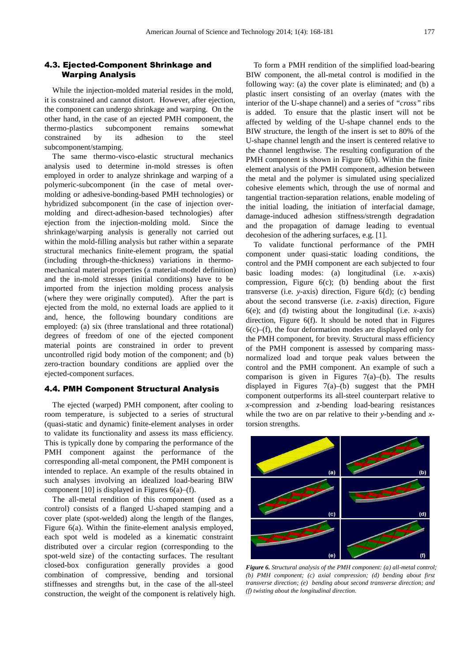## 4.3. Ejected-Component Shrinkage and Warping Analysis

While the injection-molded material resides in the mold, it is constrained and cannot distort. However, after ejection, the component can undergo shrinkage and warping. On the other hand, in the case of an ejected PMH component, the thermo-plastics subcomponent remains somewhat constrained by its adhesion to the steel subcomponent/stamping.

The same thermo-visco-elastic structural mechanics analysis used to determine in-mold stresses is often employed in order to analyze shrinkage and warping of a polymeric-subcomponent (in the case of metal overmolding or adhesive-bonding-based PMH technologies) or hybridized subcomponent (in the case of injection overmolding and direct-adhesion-based technologies) after ejection from the injection-molding mold. Since the shrinkage/warping analysis is generally not carried out within the mold-filling analysis but rather within a separate structural mechanics finite-element program, the spatial (including through-the-thickness) variations in thermomechanical material properties (a material-model definition) and the in-mold stresses (initial conditions) have to be imported from the injection molding process analysis (where they were originally computed). After the part is ejected from the mold, no external loads are applied to it and, hence, the following boundary conditions are employed: (a) six (three translational and three rotational) degrees of freedom of one of the ejected component material points are constrained in order to prevent uncontrolled rigid body motion of the component; and (b) zero-traction boundary conditions are applied over the ejected-component surfaces.

#### 4.4. PMH Component Structural Analysis

The ejected (warped) PMH component, after cooling to room temperature, is subjected to a series of structural (quasi-static and dynamic) finite-element analyses in order to validate its functionality and assess its mass efficiency. This is typically done by comparing the performance of the PMH component against the performance of the corresponding all-metal component, the PMH component is intended to replace. An example of the results obtained in such analyses involving an idealized load-bearing BIW component  $[10]$  is displayed in Figures  $6(a)$ – $(f)$ .

The all-metal rendition of this component (used as a control) consists of a flanged U-shaped stamping and a cover plate (spot-welded) along the length of the flanges, Figure 6(a). Within the finite-element analysis employed, each spot weld is modeled as a kinematic constraint distributed over a circular region (corresponding to the spot-weld size) of the contacting surfaces. The resultant closed-box configuration generally provides a good combination of compressive, bending and torsional stiffnesses and strengths but, in the case of the all-steel construction, the weight of the component is relatively high.

To form a PMH rendition of the simplified load-bearing BIW component, the all-metal control is modified in the following way: (a) the cover plate is eliminated; and (b) a plastic insert consisting of an overlay (mates with the interior of the U-shape channel) and a series of *"cross"* ribs is added. To ensure that the plastic insert will not be affected by welding of the U-shape channel ends to the BIW structure, the length of the insert is set to 80% of the U-shape channel length and the insert is centered relative to the channel lengthwise. The resulting configuration of the PMH component is shown in Figure 6(b). Within the finite element analysis of the PMH component, adhesion between the metal and the polymer is simulated using specialized cohesive elements which, through the use of normal and tangential traction-separation relations, enable modeling of the initial loading, the initiation of interfacial damage, damage-induced adhesion stiffness/strength degradation and the propagation of damage leading to eventual decohesion of the adhering surfaces, e.g. [1].

To validate functional performance of the PMH component under quasi-static loading conditions, the control and the PMH component are each subjected to four basic loading modes: (a) longitudinal (i.e. *x*-axis) compression. Figure  $6(c)$ ; (b) bending about the first transverse (i.e. *y*-axis) direction, Figure 6(d); (c) bending about the second transverse (i.e. *z*-axis) direction, Figure 6(e); and (d) twisting about the longitudinal (i.e. *x*-axis) direction, Figure 6(f). It should be noted that in Figures  $6(c)$ –(f), the four deformation modes are displayed only for the PMH component, for brevity. Structural mass efficiency of the PMH component is assessed by comparing massnormalized load and torque peak values between the control and the PMH component. An example of such a comparison is given in Figures  $7(a)$ –(b). The results displayed in Figures  $7(a)$ –(b) suggest that the PMH component outperforms its all-steel counterpart relative to *x*-compression and *z*-bending load-bearing resistances while the two are on par relative to their *y*-bending and *x*torsion strengths.



*Figure 6. Structural analysis of the PMH component: (a) all-metal control; (b) PMH component; (c) axial compression; (d) bending about first transverse direction; (e) bending about second transverse direction; and (f) twisting about the longitudinal direction.*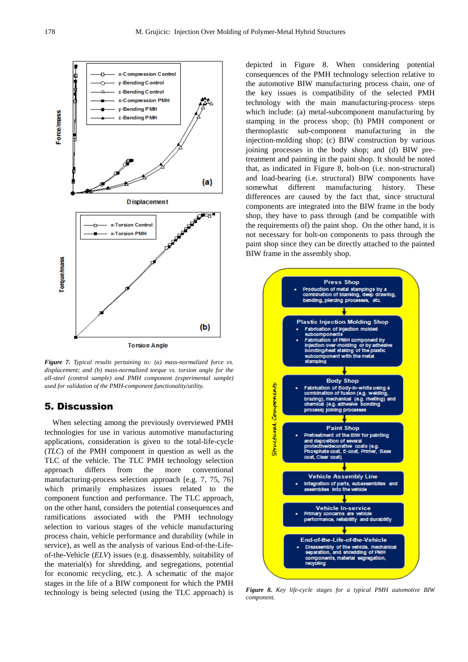

*Figure 7. Typical results pertaining to: (a) mass-normalized force vs. displacement; and (b) mass-normalized torque vs. torsion angle for the all-steel (control sample) and PMH component (experimental sample) used for validation of the PMH-component functionality/utility.* 

# 5. Discussion

When selecting among the previously overviewed PMH technologies for use in various automotive manufacturing applications, consideration is given to the total-life-cycle (*TLC*) of the PMH component in question as well as the TLC of the vehicle. The TLC PMH technology selection approach differs from the more conventional manufacturing-process selection approach [e.g. 7, 75, 76] which primarily emphasizes issues related to the component function and performance. The TLC approach, on the other hand, considers the potential consequences and ramifications associated with the PMH technology selection to various stages of the vehicle manufacturing process chain, vehicle performance and durability (while in service), as well as the analysis of various End-of-the-Lifeof-the-Vehicle (*ELV*) issues (e.g. disassembly, suitability of the material(s) for shredding, and segregations, potential for economic recycling, etc.). A schematic of the major stages in the life of a BIW component for which the PMH technology is being selected (using the TLC approach) is

depicted in Figure 8. When considering potential consequences of the PMH technology selection relative to the automotive BIW manufacturing process chain, one of the key issues is compatibility of the selected PMH technology with the main manufacturing-process steps which include: (a) metal-subcomponent manufacturing by stamping in the process shop; (b) PMH component or thermoplastic sub-component manufacturing in the injection-molding shop; (c) BIW construction by various joining processes in the body shop; and (d) BIW pretreatment and painting in the paint shop. It should be noted that, as indicated in Figure 8, bolt-on (i.e. non-structural) and load-bearing (i.e. structural) BIW components have somewhat different manufacturing history. These differences are caused by the fact that, since structural components are integrated into the BIW frame in the body shop, they have to pass through (and be compatible with the requirements of) the paint shop. On the other hand, it is not necessary for bolt-on components to pass through the paint shop since they can be directly attached to the painted BIW frame in the assembly shop.



*Figure 8. Key life-cycle stages for a typical PMH automotive BIW component.*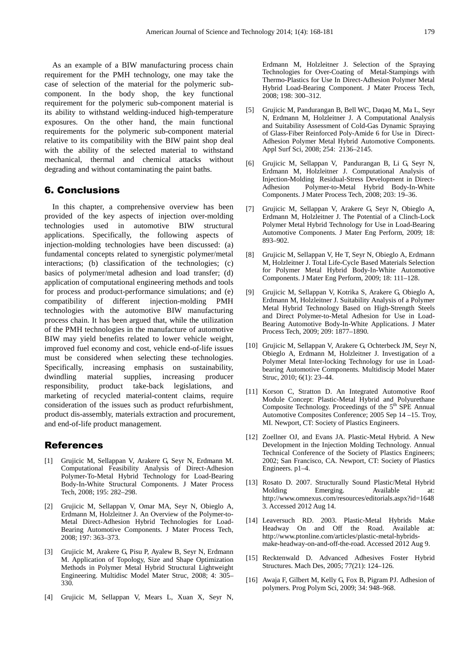As an example of a BIW manufacturing process chain requirement for the PMH technology, one may take the case of selection of the material for the polymeric subcomponent. In the body shop, the key functional requirement for the polymeric sub-component material is its ability to withstand welding-induced high-temperature exposures. On the other hand, the main functional requirements for the polymeric sub-component material relative to its compatibility with the BIW paint shop deal with the ability of the selected material to withstand mechanical, thermal and chemical attacks without degrading and without contaminating the paint baths.

# 6. Conclusions

In this chapter, a comprehensive overview has been provided of the key aspects of injection over-molding technologies used in automotive BIW structural applications. Specifically, the following aspects of injection-molding technologies have been discussed: (a) fundamental concepts related to synergistic polymer/metal interactions; (b) classification of the technologies; (c) basics of polymer/metal adhesion and load transfer; (d) application of computational engineering methods and tools for process and product-performance simulations; and (e) compatibility of different injection-molding PMH technologies with the automotive BIW manufacturing process chain. It has been argued that, while the utilization of the PMH technologies in the manufacture of automotive BIW may yield benefits related to lower vehicle weight, improved fuel economy and cost, vehicle end-of-life issues must be considered when selecting these technologies. Specifically, increasing emphasis on sustainability, dwindling material supplies, increasing producer responsibility, product take-back legislations, and marketing of recycled material-content claims, require consideration of the issues such as product refurbishment, product dis-assembly, materials extraction and procurement, and end-of-life product management.

#### References

- [1] Grujicic M, Sellappan V, Arakere G, Seyr N, Erdmann M. Computational Feasibility Analysis of Direct-Adhesion Polymer-To-Metal Hybrid Technology for Load-Bearing Body-In-White Structural Components. J Mater Process Tech, 2008; 195: 282–298.
- [2] Grujicic M, Sellappan V, Omar MA, Seyr N, Obieglo A, Erdmann M, Holzleitner J. An Overview of the Polymer-to-Metal Direct-Adhesion Hybrid Technologies for Load-Bearing Automotive Components. J Mater Process Tech, 2008; 197: 363–373.
- [3] Grujicic M, Arakere G, Pisu P, Ayalew B, Seyr N, Erdmann M. Application of Topology, Size and Shape Optimization Methods in Polymer Metal Hybrid Structural Lightweight Engineering. Multidisc Model Mater Struc, 2008; 4: 305– 330.
- [4] Grujicic M, Sellappan V, Mears L, Xuan X, Seyr N,

Erdmann M, Holzleitner J. Selection of the Spraying Technologies for Over-Coating of Metal-Stampings with Thermo-Plastics for Use In Direct-Adhesion Polymer Metal Hybrid Load-Bearing Component. J Mater Process Tech, 2008; 198: 300–312.

- [5] Grujicic M, Pandurangan B, Bell WC, Daqaq M, Ma L, Seyr N, Erdmann M, Holzleitner J. A Computational Analysis and Suitability Assessment of Cold-Gas Dynamic Spraying of Glass-Fiber Reinforced Poly-Amide 6 for Use in Direct-Adhesion Polymer Metal Hybrid Automotive Components. Appl Surf Sci, 2008; 254: 2136–2145.
- [6] Grujicic M, Sellappan V, Pandurangan B, Li G, Seyr N, Erdmann M, Holzleitner J. Computational Analysis of Injection-Molding Residual-Stress Development in Direct-Adhesion Polymer-to-Metal Hybrid Body-In-White Components. J Mater Process Tech, 2008; 203: 19–36.
- [7] Grujicic M, Sellappan V, Arakere G, Seyr N, Obieglo A, Erdmann M, Holzleitner J. The Potential of a Clinch-Lock Polymer Metal Hybrid Technology for Use in Load-Bearing Automotive Components. J Mater Eng Perform, 2009; 18: 893–902.
- [8] Grujicic M, Sellappan V, He T, Seyr N, Obieglo A, Erdmann M, Holzleitner J. Total Life-Cycle Based Materials Selection for Polymer Metal Hybrid Body-In-White Automotive Components. J Mater Eng Perform, 2009; 18: 111–128.
- [9] Grujicic M, Sellappan V, Kotrika S, Arakere G, Obieglo A, Erdmann M, Holzleitner J. Suitability Analysis of a Polymer Metal Hybrid Technology Based on High-Strength Steels and Direct Polymer-to-Metal Adhesion for Use in Load-Bearing Automotive Body-In-White Applications. J Mater Process Tech, 2009; 209: 1877–1890.
- [10] Grujicic M, Sellappan V, Arakere G, Ochterbeck JM, Seyr N, Obieglo A, Erdmann M, Holzleitner J. Investigation of a Polymer Metal Inter-locking Technology for use in Loadbearing Automotive Components. Multidiscip Model Mater Struc, 2010; 6(1): 23–44.
- [11] Korson C, Stratton D. An Integrated Automotive Roof Module Concept: Plastic-Metal Hybrid and Polyurethane Composite Technology. Proceedings of the 5<sup>th</sup> SPE Annual Automotive Composites Conference; 2005 Sep 14 –15. Troy, MI. Newport, CT: Society of Plastics Engineers.
- [12] Zoellner OJ, and Evans JA, Plastic-Metal Hybrid. A New Development in the Injection Molding Technology*.* Annual Technical Conference of the Society of Plastics Engineers; 2002; San Francisco, CA. Newport, CT: Society of Plastics Engineers. p1–4.
- [13] Rosato D. 2007. Structurally Sound Plastic/Metal Hybrid Molding Emerging. Available at: http://www.omnexus.com/resources/editorials.aspx?id=1648 3. Accessed 2012 Aug 14.
- [14] Leaversuch RD. 2003. Plastic-Metal Hybrids Make Headway On and Off the Road. Available at: http://www.ptonline.com/articles/plastic-metal-hybridsmake-headway-on-and-off-the-road. Accessed 2012 Aug 9.
- [15] Recktenwald D. Advanced Adhesives Foster Hybrid Structures. Mach Des, 2005; 77(21): 124–126.
- [16] Awaja F, Gilbert M, Kelly G, Fox B, Pigram PJ. Adhesion of polymers. Prog Polym Sci, 2009; 34: 948–968.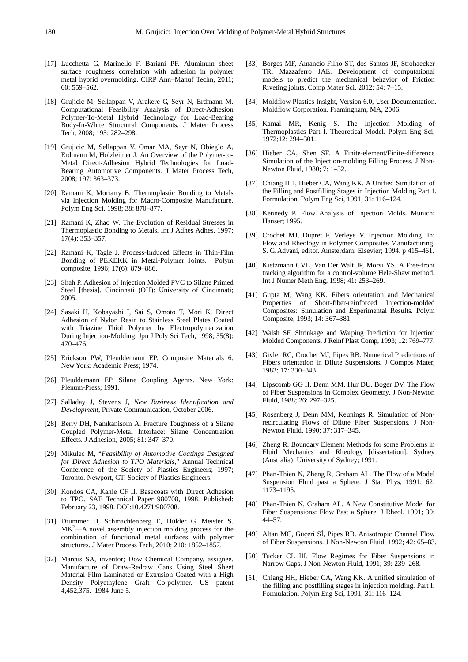- [17] Lucchetta G, Marinello F, Bariani PF. Aluminum sheet surface roughness correlation with adhesion in polymer metal hybrid overmolding. CIRP Ann–Manuf Techn, 2011; 60: 559–562.
- [18] Grujicic M, Sellappan V, Arakere G, Seyr N, Erdmann M. Computational Feasibility Analysis of Direct-Adhesion Polymer-To-Metal Hybrid Technology for Load-Bearing Body-In-White Structural Components. J Mater Process Tech, 2008; 195: 282–298.
- [19] Grujicic M, Sellappan V, Omar MA, Seyr N, Obieglo A, Erdmann M, Holzleitner J. An Overview of the Polymer-to-Metal Direct-Adhesion Hybrid Technologies for Load-Bearing Automotive Components. J Mater Process Tech, 2008; 197: 363–373.
- [20] Ramani K, Moriarty B. Thermoplastic Bonding to Metals via Injection Molding for Macro-Composite Manufacture. Polym Eng Sci, 1998; 38: 870–877.
- [21] Ramani K, Zhao W. The Evolution of Residual Stresses in Thermoplastic Bonding to Metals. Int J Adhes Adhes, 1997; 17(4): 353–357.
- [22] Ramani K, Tagle J. Process-Induced Effects in Thin-Film Bonding of PEKEKK in Metal-Polymer Joints. Polym composite, 1996; 17(6): 879–886.
- [23] Shah P. Adhesion of Injection Molded PVC to Silane Primed Steel [thesis]. Cincinnati (OH): University of Cincinnati; 2005.
- [24] Sasaki H, Kobayashi I, Sai S, Omoto T, Mori K*.* Direct Adhesion of Nylon Resin to Stainless Steel Plates Coated with Triazine Thiol Polymer by Electropolymerization During Injection-Molding. Jpn J Poly Sci Tech, 1998; 55(8): 470–476.
- [25] Erickson PW, Pleuddemann EP. Composite Materials 6. New York: Academic Press; 1974.
- [26] Pleuddemann EP. Silane Coupling Agents. New York: Plenum-Press; 1991.
- [27] Salladay J, Stevens J, *New Business Identification and Development*, Private Communication, October 2006.
- [28] Berry DH, Namkanisorn A. Fracture Toughness of a Silane Coupled Polymer-Metal Interface: Silane Concentration Effects. J Adhesion, 2005; 81: 347–370.
- [29] Mikulec M, "*Feasibility of Automotive Coatings Designed for Direct Adhesion to TPO Materials*," Annual Technical Conference of the Society of Plastics Engineers; 1997; Toronto. Newport, CT: Society of Plastics Engineers.
- [30] Kondos CA, Kahle CF II. Basecoats with Direct Adhesion to TPO. SAE Technical Paper 980708, 1998. Published: February 23, 1998. DOI:10.4271/980708.
- [31] Drummer D, Schmachtenberg E, Hülder G, Meister S.  $MK<sup>2</sup>$ —A novel assembly injection molding process for the combination of functional metal surfaces with polymer structures. J Mater Process Tech, 2010; 210: 1852–1857.
- [32] Marcus SA, inventor; Dow Chemical Company, assignee. Manufacture of Draw-Redraw Cans Using Steel Sheet Material Film Laminated or Extrusion Coated with a High Density Polyethylene Graft Co-polymer. US patent 4,452,375. 1984 June 5.
- [33] Borges MF, Amancio-Filho ST, dos Santos JF, Strohaecker TR, Mazzaferro JAE. Development of computational models to predict the mechanical behavior of Friction Riveting joints. Comp Mater Sci, 2012; 54: 7–15.
- [34] Moldflow Plastics Insight, Version 6.0, User Documentation. Moldflow Corporation. Framingham, MA, 2006.
- [35] Kamal MR, Kenig S. The Injection Molding of Thermoplastics Part I. Theoretical Model. Polym Eng Sci, 1972;12: 294–301.
- [36] Hieber CA, Shen SF. A Finite-element/Finite-difference Simulation of the Injection-molding Filling Process*.* J Non-Newton Fluid, 1980; 7: 1–32.
- [37] Chiang HH, Hieber CA, Wang KK. A Unified Simulation of the Filling and Postfilling Stages in Injection Molding Part 1. Formulation*.* Polym Eng Sci, 1991; 31: 116–124.
- [38] Kennedy P. Flow Analysis of Injection Molds. Munich: Hanser; 1995.
- [39] Crochet MJ, Dupret F, Verleye V. Injection Molding. In: Flow and Rheology in Polymer Composites Manufacturing. S. G. Advani, editor. Amsterdam: Elsevier; 1994. p 415–461.
- [40] Kietzmann CVL, Van Der Walt JP, Morsi YS. A Free-front tracking algorithm for a control-volume Hele-Shaw method*.* Int J Numer Meth Eng, 1998; 41: 253–269.
- [41] Gupta M, Wang KK. Fibers orientation and Mechanical Properties of Short-fiber-reinforced Injection-molded Composites: Simulation and Experimental Results*.* Polym Composite, 1993; 14: 367–381.
- [42] Walsh SF. Shrinkage and Warping Prediction for Injection Molded Components*.* J Reinf Plast Comp, 1993; 12: 769–777.
- [43] Givler RC, Crochet MJ, Pipes RB. Numerical Predictions of Fibers orientation in Dilute Suspensions*.* J Compos Mater, 1983; 17: 330–343.
- [44] Lipscomb GG II, Denn MM, Hur DU, Boger DV. The Flow of Fiber Suspensions in Complex Geometry*.* J Non-Newton Fluid, 1988; 26: 297–325.
- [45] Rosenberg J, Denn MM, Keunings R. Simulation of Nonrecirculating Flows of Dilute Fiber Suspensions*.* J Non-Newton Fluid, 1990; 37: 317–345.
- [46] Zheng R. Boundary Element Methods for some Problems in Fluid Mechanics and Rheology [dissertation]. Sydney (Australia): University of Sydney; 1991.
- [47] Phan-Thien N, Zheng R, Graham AL. The Flow of a Model Suspension Fluid past a Sphere. J Stat Phys, 1991; 62: 1173–1195.
- [48] Phan-Thien N, Graham AL. A New Constitutive Model for Fiber Suspensions: Flow Past a Sphere. J Rheol, 1991; 30: 44–57.
- [49] Altan MC, Güceri SI, Pipes RB. Anisotropic Channel Flow of Fiber Suspensions. J Non-Newton Fluid, 1992; 42: 65–83.
- [50] Tucker CL III. Flow Regimes for Fiber Suspensions in Narrow Gaps. J Non-Newton Fluid, 1991; 39: 239–268.
- [51] Chiang HH, Hieber CA, Wang KK. A unified simulation of the filling and postfilling stages in injection molding. Part I: Formulation. Polym Eng Sci, 1991; 31: 116–124.